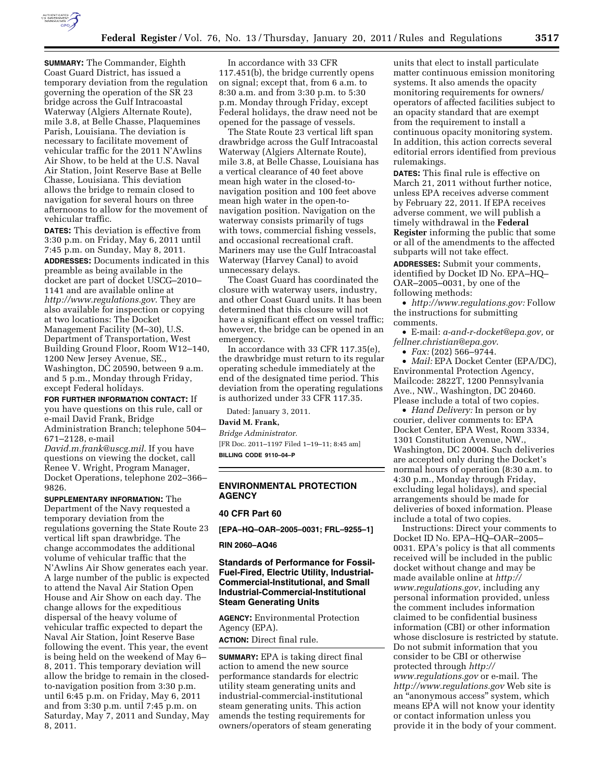

**SUMMARY:** The Commander, Eighth Coast Guard District, has issued a temporary deviation from the regulation governing the operation of the SR 23 bridge across the Gulf Intracoastal Waterway (Algiers Alternate Route), mile 3.8, at Belle Chasse, Plaquemines Parish, Louisiana. The deviation is necessary to facilitate movement of vehicular traffic for the 2011 N'Awlins Air Show, to be held at the U.S. Naval Air Station, Joint Reserve Base at Belle Chasse, Louisiana. This deviation allows the bridge to remain closed to navigation for several hours on three afternoons to allow for the movement of vehicular traffic.

**DATES:** This deviation is effective from 3:30 p.m. on Friday, May 6, 2011 until 7:45 p.m. on Sunday, May 8, 2011. **ADDRESSES:** Documents indicated in this preamble as being available in the docket are part of docket USCG–2010– 1141 and are available online at *<http://www.regulations.gov>*. They are also available for inspection or copying at two locations: The Docket Management Facility (M–30), U.S. Department of Transportation, West Building Ground Floor, Room W12–140, 1200 New Jersey Avenue, SE., Washington, DC 20590, between 9 a.m. and 5 p.m., Monday through Friday, except Federal holidays.

**FOR FURTHER INFORMATION CONTACT:** If you have questions on this rule, call or e-mail David Frank, Bridge Administration Branch; telephone 504–

671–2128, e-mail

*[David.m.frank@uscg.mil](mailto:David.m.frank@uscg.mil)*. If you have questions on viewing the docket, call Renee V. Wright, Program Manager, Docket Operations, telephone 202–366– 9826.

**SUPPLEMENTARY INFORMATION:** The Department of the Navy requested a temporary deviation from the regulations governing the State Route 23 vertical lift span drawbridge. The change accommodates the additional volume of vehicular traffic that the N'Awlins Air Show generates each year. A large number of the public is expected to attend the Naval Air Station Open House and Air Show on each day. The change allows for the expeditious dispersal of the heavy volume of vehicular traffic expected to depart the Naval Air Station, Joint Reserve Base following the event. This year, the event is being held on the weekend of May 6– 8, 2011. This temporary deviation will allow the bridge to remain in the closedto-navigation position from 3:30 p.m. until 6:45 p.m. on Friday, May 6, 2011 and from 3:30 p.m. until 7:45 p.m. on Saturday, May 7, 2011 and Sunday, May 8, 2011.

In accordance with 33 CFR 117.451(b), the bridge currently opens on signal; except that, from 6 a.m. to 8:30 a.m. and from 3:30 p.m. to 5:30 p.m. Monday through Friday, except Federal holidays, the draw need not be opened for the passage of vessels.

The State Route 23 vertical lift span drawbridge across the Gulf Intracoastal Waterway (Algiers Alternate Route), mile 3.8, at Belle Chasse, Louisiana has a vertical clearance of 40 feet above mean high water in the closed-tonavigation position and 100 feet above mean high water in the open-tonavigation position. Navigation on the waterway consists primarily of tugs with tows, commercial fishing vessels, and occasional recreational craft. Mariners may use the Gulf Intracoastal Waterway (Harvey Canal) to avoid unnecessary delays.

The Coast Guard has coordinated the closure with waterway users, industry, and other Coast Guard units. It has been determined that this closure will not have a significant effect on vessel traffic; however, the bridge can be opened in an emergency.

In accordance with 33 CFR 117.35(e), the drawbridge must return to its regular operating schedule immediately at the end of the designated time period. This deviation from the operating regulations is authorized under 33 CFR 117.35.

Dated: January 3, 2011.

## **David M. Frank,**

*Bridge Administrator.*  [FR Doc. 2011–1197 Filed 1–19–11; 8:45 am] **BILLING CODE 9110–04–P** 

# **ENVIRONMENTAL PROTECTION AGENCY**

# **40 CFR Part 60**

**[EPA–HQ–OAR–2005–0031; FRL–9255–1]** 

#### **RIN 2060–AQ46**

# **Standards of Performance for Fossil-Fuel-Fired, Electric Utility, Industrial-Commercial-Institutional, and Small Industrial-Commercial-Institutional Steam Generating Units**

**AGENCY:** Environmental Protection Agency (EPA).

**ACTION:** Direct final rule.

**SUMMARY:** EPA is taking direct final action to amend the new source performance standards for electric utility steam generating units and industrial-commercial-institutional steam generating units. This action amends the testing requirements for owners/operators of steam generating

units that elect to install particulate matter continuous emission monitoring systems. It also amends the opacity monitoring requirements for owners/ operators of affected facilities subject to an opacity standard that are exempt from the requirement to install a continuous opacity monitoring system. In addition, this action corrects several editorial errors identified from previous rulemakings.

**DATES:** This final rule is effective on March 21, 2011 without further notice, unless EPA receives adverse comment by February 22, 2011. If EPA receives adverse comment, we will publish a timely withdrawal in the **Federal Register** informing the public that some or all of the amendments to the affected subparts will not take effect.

**ADDRESSES:** Submit your comments, identified by Docket ID No. EPA–HQ– OAR–2005–0031, by one of the following methods:

• *[http://www.regulations.gov:](http://www.regulations.gov)* Follow the instructions for submitting comments.

• E-mail: *[a-and-r-docket@epa.gov,](mailto:a-and-r-docket@epa.gov)* or *[fellner.christian@epa.gov](mailto:fellner.christian@epa.gov)*.

• *Fax:* (202) 566–9744.

• *Mail:* EPA Docket Center (EPA/DC), Environmental Protection Agency, Mailcode: 2822T, 1200 Pennsylvania Ave., NW., Washington, DC 20460. Please include a total of two copies.

• *Hand Delivery:* In person or by courier, deliver comments to: EPA Docket Center, EPA West, Room 3334, 1301 Constitution Avenue, NW., Washington, DC 20004. Such deliveries are accepted only during the Docket's normal hours of operation (8:30 a.m. to 4:30 p.m., Monday through Friday, excluding legal holidays), and special arrangements should be made for deliveries of boxed information. Please include a total of two copies.

Instructions: Direct your comments to Docket ID No. EPA–HQ–OAR–2005– 0031. EPA's policy is that all comments received will be included in the public docket without change and may be made available online at *[http://](http://www.regulations.gov)  [www.regulations.gov](http://www.regulations.gov)*, including any personal information provided, unless the comment includes information claimed to be confidential business information (CBI) or other information whose disclosure is restricted by statute. Do not submit information that you consider to be CBI or otherwise protected through *[http://](http://www.regulations.gov)  [www.regulations.gov](http://www.regulations.gov)* or e-mail. The *<http://www.regulations.gov>* Web site is an ''anonymous access'' system, which means EPA will not know your identity or contact information unless you provide it in the body of your comment.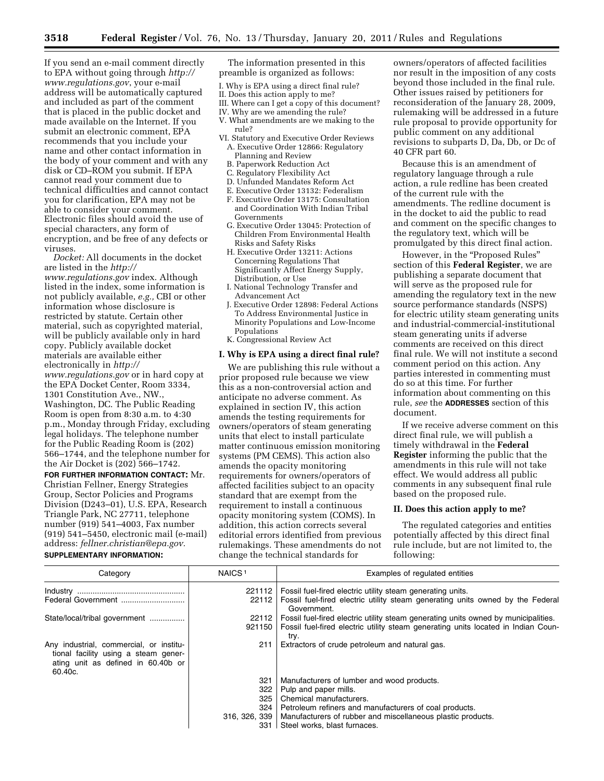If you send an e-mail comment directly to EPA without going through *[http://](http://www.regulations.gov) [www.regulations.gov](http://www.regulations.gov)*, your e-mail address will be automatically captured and included as part of the comment that is placed in the public docket and made available on the Internet. If you submit an electronic comment, EPA recommends that you include your name and other contact information in the body of your comment and with any disk or CD–ROM you submit. If EPA cannot read your comment due to technical difficulties and cannot contact you for clarification, EPA may not be able to consider your comment. Electronic files should avoid the use of special characters, any form of encryption, and be free of any defects or viruses.

*Docket:* All documents in the docket are listed in the *[http://](http://www.regulations.gov) [www.regulations.gov](http://www.regulations.gov)* index. Although listed in the index, some information is not publicly available, *e.g.,* CBI or other information whose disclosure is restricted by statute. Certain other material, such as copyrighted material, will be publicly available only in hard copy. Publicly available docket materials are available either electronically in *[http://](http://www.regulations.gov) [www.regulations.gov](http://www.regulations.gov)* or in hard copy at the EPA Docket Center, Room 3334, 1301 Constitution Ave., NW., Washington, DC. The Public Reading Room is open from 8:30 a.m. to 4:30 p.m., Monday through Friday, excluding legal holidays. The telephone number for the Public Reading Room is (202) 566–1744, and the telephone number for the Air Docket is (202) 566–1742.

**FOR FURTHER INFORMATION CONTACT:** Mr. Christian Fellner, Energy Strategies Group, Sector Policies and Programs Division (D243–01), U.S. EPA, Research Triangle Park, NC 27711, telephone number (919) 541–4003, Fax number (919) 541–5450, electronic mail (e-mail) address: *[fellner.christian@epa.gov.](mailto:fellner.christian@epa.gov)*  **SUPPLEMENTARY INFORMATION:** 

The information presented in this preamble is organized as follows:

- I. Why is EPA using a direct final rule?
- II. Does this action apply to me?
- III. Where can I get a copy of this document?
- IV. Why are we amending the rule?
- V. What amendments are we making to the
- rule? VI. Statutory and Executive Order Reviews A. Executive Order 12866: Regulatory
	- Planning and Review B. Paperwork Reduction Act
	-
	- C. Regulatory Flexibility Act D. Unfunded Mandates Reform Act
	- E. Executive Order 13132: Federalism
	- F. Executive Order 13175: Consultation and Coordination With Indian Tribal Governments
	- G. Executive Order 13045: Protection of Children From Environmental Health Risks and Safety Risks
	- H. Executive Order 13211: Actions Concerning Regulations That Significantly Affect Energy Supply, Distribution, or Use
	- I. National Technology Transfer and Advancement Act
	- J. Executive Order 12898: Federal Actions To Address Environmental Justice in Minority Populations and Low-Income Populations
	- K. Congressional Review Act

### **I. Why is EPA using a direct final rule?**

We are publishing this rule without a prior proposed rule because we view this as a non-controversial action and anticipate no adverse comment. As explained in section IV, this action amends the testing requirements for owners/operators of steam generating units that elect to install particulate matter continuous emission monitoring systems (PM CEMS). This action also amends the opacity monitoring requirements for owners/operators of affected facilities subject to an opacity standard that are exempt from the requirement to install a continuous opacity monitoring system (COMS). In addition, this action corrects several editorial errors identified from previous rulemakings. These amendments do not change the technical standards for

owners/operators of affected facilities nor result in the imposition of any costs beyond those included in the final rule. Other issues raised by petitioners for reconsideration of the January 28, 2009, rulemaking will be addressed in a future rule proposal to provide opportunity for public comment on any additional revisions to subparts D, Da, Db, or Dc of 40 CFR part 60.

Because this is an amendment of regulatory language through a rule action, a rule redline has been created of the current rule with the amendments. The redline document is in the docket to aid the public to read and comment on the specific changes to the regulatory text, which will be promulgated by this direct final action.

However, in the "Proposed Rules" section of this **Federal Register**, we are publishing a separate document that will serve as the proposed rule for amending the regulatory text in the new source performance standards (NSPS) for electric utility steam generating units and industrial-commercial-institutional steam generating units if adverse comments are received on this direct final rule. We will not institute a second comment period on this action. Any parties interested in commenting must do so at this time. For further information about commenting on this rule, *see* the **ADDRESSES** section of this document.

If we receive adverse comment on this direct final rule, we will publish a timely withdrawal in the **Federal Register** informing the public that the amendments in this rule will not take effect. We would address all public comments in any subsequent final rule based on the proposed rule.

### **II. Does this action apply to me?**

The regulated categories and entities potentially affected by this direct final rule include, but are not limited to, the following:

| Category                                                                                                                         | NAICS <sup>1</sup> | Examples of regulated entities                                                                |  |  |
|----------------------------------------------------------------------------------------------------------------------------------|--------------------|-----------------------------------------------------------------------------------------------|--|--|
|                                                                                                                                  | 221112             | Fossil fuel-fired electric utility steam generating units.                                    |  |  |
|                                                                                                                                  | 22112              | Fossil fuel-fired electric utility steam generating units owned by the Federal<br>Government. |  |  |
| State/local/tribal government                                                                                                    | 22112              | Fossil fuel-fired electric utility steam generating units owned by municipalities.            |  |  |
|                                                                                                                                  | 921150             | Fossil fuel-fired electric utility steam generating units located in Indian Coun-<br>try.     |  |  |
| Any industrial, commercial, or institu-<br>tional facility using a steam gener-<br>ating unit as defined in 60.40b or<br>60.40c. | 211                | Extractors of crude petroleum and natural gas.                                                |  |  |
|                                                                                                                                  | 321                | Manufacturers of lumber and wood products.                                                    |  |  |
|                                                                                                                                  | 322                | Pulp and paper mills.                                                                         |  |  |
|                                                                                                                                  | 325                | Chemical manufacturers.                                                                       |  |  |
|                                                                                                                                  | 324                | Petroleum refiners and manufacturers of coal products.                                        |  |  |
|                                                                                                                                  | 316, 326, 339      | Manufacturers of rubber and miscellaneous plastic products.                                   |  |  |
|                                                                                                                                  | 331                | Steel works, blast furnaces.                                                                  |  |  |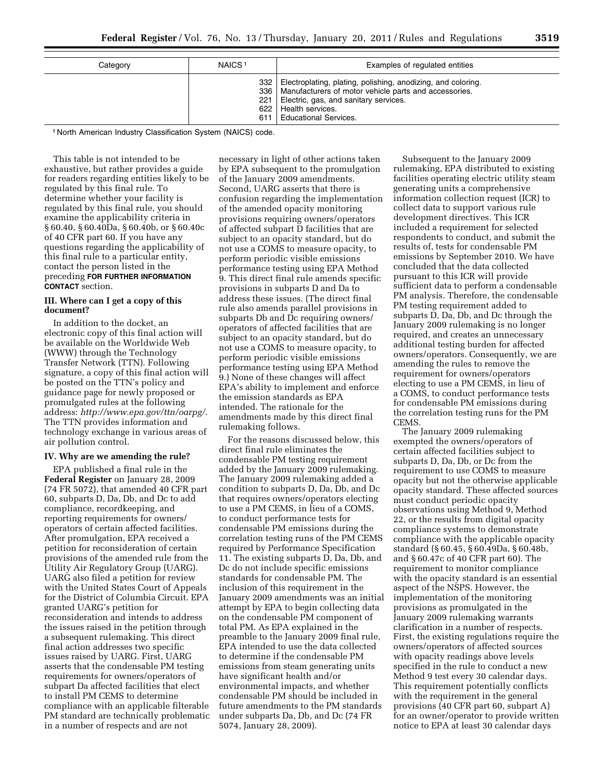| Category | NAICS <sup>1</sup> | Examples of regulated entities                                                                                                                                                                                                      |
|----------|--------------------|-------------------------------------------------------------------------------------------------------------------------------------------------------------------------------------------------------------------------------------|
|          | 622                | 332   Electroplating, plating, polishing, anodizing, and coloring.<br>336   Manufacturers of motor vehicle parts and accessories.<br>221   Electric, gas, and sanitary services.<br>Health services.<br>611   Educational Services. |

1 North American Industry Classification System (NAICS) code.

This table is not intended to be exhaustive, but rather provides a guide for readers regarding entities likely to be regulated by this final rule. To determine whether your facility is regulated by this final rule, you should examine the applicability criteria in § 60.40, § 60.40Da, § 60.40b, or § 60.40c of 40 CFR part 60. If you have any questions regarding the applicability of this final rule to a particular entity, contact the person listed in the preceding **FOR FURTHER INFORMATION CONTACT** section.

## **III. Where can I get a copy of this document?**

In addition to the docket, an electronic copy of this final action will be available on the Worldwide Web (WWW) through the Technology Transfer Network (TTN). Following signature, a copy of this final action will be posted on the TTN's policy and guidance page for newly proposed or promulgated rules at the following address: *<http://www.epa.gov/ttn/oarpg/>*. The TTN provides information and technology exchange in various areas of air pollution control.

### **IV. Why are we amending the rule?**

EPA published a final rule in the **Federal Register** on January 28, 2009 (74 FR 5072), that amended 40 CFR part 60, subparts D, Da, Db, and Dc to add compliance, recordkeeping, and reporting requirements for owners/ operators of certain affected facilities. After promulgation, EPA received a petition for reconsideration of certain provisions of the amended rule from the Utility Air Regulatory Group (UARG). UARG also filed a petition for review with the United States Court of Appeals for the District of Columbia Circuit. EPA granted UARG's petition for reconsideration and intends to address the issues raised in the petition through a subsequent rulemaking. This direct final action addresses two specific issues raised by UARG. First, UARG asserts that the condensable PM testing requirements for owners/operators of subpart Da affected facilities that elect to install PM CEMS to determine compliance with an applicable filterable PM standard are technically problematic in a number of respects and are not

necessary in light of other actions taken by EPA subsequent to the promulgation of the January 2009 amendments. Second, UARG asserts that there is confusion regarding the implementation of the amended opacity monitoring provisions requiring owners/operators of affected subpart D facilities that are subject to an opacity standard, but do not use a COMS to measure opacity, to perform periodic visible emissions performance testing using EPA Method 9. This direct final rule amends specific provisions in subparts D and Da to address these issues. (The direct final rule also amends parallel provisions in subparts Db and Dc requiring owners/ operators of affected facilities that are subject to an opacity standard, but do not use a COMS to measure opacity, to perform periodic visible emissions performance testing using EPA Method 9.) None of these changes will affect EPA's ability to implement and enforce the emission standards as EPA intended. The rationale for the amendments made by this direct final rulemaking follows.

For the reasons discussed below, this direct final rule eliminates the condensable PM testing requirement added by the January 2009 rulemaking. The January 2009 rulemaking added a condition to subparts D, Da, Db, and Dc that requires owners/operators electing to use a PM CEMS, in lieu of a COMS, to conduct performance tests for condensable PM emissions during the correlation testing runs of the PM CEMS required by Performance Specification 11. The existing subparts D, Da, Db, and Dc do not include specific emissions standards for condensable PM. The inclusion of this requirement in the January 2009 amendments was an initial attempt by EPA to begin collecting data on the condensable PM component of total PM. As EPA explained in the preamble to the January 2009 final rule, EPA intended to use the data collected to determine if the condensable PM emissions from steam generating units have significant health and/or environmental impacts, and whether condensable PM should be included in future amendments to the PM standards under subparts Da, Db, and Dc (74 FR 5074, January 28, 2009).

Subsequent to the January 2009 rulemaking, EPA distributed to existing facilities operating electric utility steam generating units a comprehensive information collection request (ICR) to collect data to support various rule development directives. This ICR included a requirement for selected respondents to conduct, and submit the results of, tests for condensable PM emissions by September 2010. We have concluded that the data collected pursuant to this ICR will provide sufficient data to perform a condensable PM analysis. Therefore, the condensable PM testing requirement added to subparts D, Da, Db, and Dc through the January 2009 rulemaking is no longer required, and creates an unnecessary additional testing burden for affected owners/operators. Consequently, we are amending the rules to remove the requirement for owners/operators electing to use a PM CEMS, in lieu of a COMS, to conduct performance tests for condensable PM emissions during the correlation testing runs for the PM CEMS.

The January 2009 rulemaking exempted the owners/operators of certain affected facilities subject to subparts D, Da, Db, or Dc from the requirement to use COMS to measure opacity but not the otherwise applicable opacity standard. These affected sources must conduct periodic opacity observations using Method 9, Method 22, or the results from digital opacity compliance systems to demonstrate compliance with the applicable opacity standard (§ 60.45, § 60.49Da, § 60.48b, and § 60.47c of 40 CFR part 60). The requirement to monitor compliance with the opacity standard is an essential aspect of the NSPS. However, the implementation of the monitoring provisions as promulgated in the January 2009 rulemaking warrants clarification in a number of respects. First, the existing regulations require the owners/operators of affected sources with opacity readings above levels specified in the rule to conduct a new Method 9 test every 30 calendar days. This requirement potentially conflicts with the requirement in the general provisions (40 CFR part 60, subpart A) for an owner/operator to provide written notice to EPA at least 30 calendar days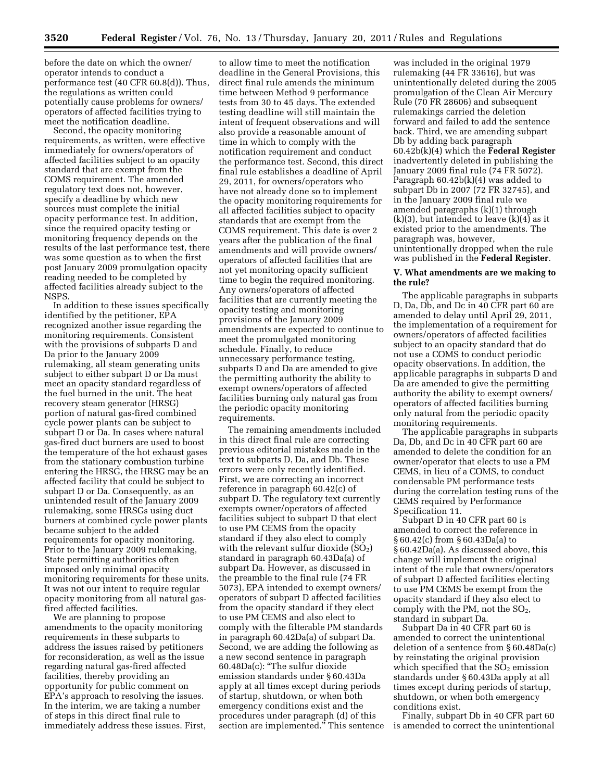before the date on which the owner/ operator intends to conduct a performance test (40 CFR 60.8(d)). Thus, the regulations as written could potentially cause problems for owners/ operators of affected facilities trying to meet the notification deadline.

Second, the opacity monitoring requirements, as written, were effective immediately for owners/operators of affected facilities subject to an opacity standard that are exempt from the COMS requirement. The amended regulatory text does not, however, specify a deadline by which new sources must complete the initial opacity performance test. In addition, since the required opacity testing or monitoring frequency depends on the results of the last performance test, there was some question as to when the first post January 2009 promulgation opacity reading needed to be completed by affected facilities already subject to the NSPS.

In addition to these issues specifically identified by the petitioner, EPA recognized another issue regarding the monitoring requirements. Consistent with the provisions of subparts D and Da prior to the January 2009 rulemaking, all steam generating units subject to either subpart D or Da must meet an opacity standard regardless of the fuel burned in the unit. The heat recovery steam generator (HRSG) portion of natural gas-fired combined cycle power plants can be subject to subpart D or Da. In cases where natural gas-fired duct burners are used to boost the temperature of the hot exhaust gases from the stationary combustion turbine entering the HRSG, the HRSG may be an affected facility that could be subject to subpart D or Da. Consequently, as an unintended result of the January 2009 rulemaking, some HRSGs using duct burners at combined cycle power plants became subject to the added requirements for opacity monitoring. Prior to the January 2009 rulemaking, State permitting authorities often imposed only minimal opacity monitoring requirements for these units. It was not our intent to require regular opacity monitoring from all natural gasfired affected facilities.

We are planning to propose amendments to the opacity monitoring requirements in these subparts to address the issues raised by petitioners for reconsideration, as well as the issue regarding natural gas-fired affected facilities, thereby providing an opportunity for public comment on EPA's approach to resolving the issues. In the interim, we are taking a number of steps in this direct final rule to immediately address these issues. First,

to allow time to meet the notification deadline in the General Provisions, this direct final rule amends the minimum time between Method 9 performance tests from 30 to 45 days. The extended testing deadline will still maintain the intent of frequent observations and will also provide a reasonable amount of time in which to comply with the notification requirement and conduct the performance test. Second, this direct final rule establishes a deadline of April 29, 2011, for owners/operators who have not already done so to implement the opacity monitoring requirements for all affected facilities subject to opacity standards that are exempt from the COMS requirement. This date is over 2 years after the publication of the final amendments and will provide owners/ operators of affected facilities that are not yet monitoring opacity sufficient time to begin the required monitoring. Any owners/operators of affected facilities that are currently meeting the opacity testing and monitoring provisions of the January 2009 amendments are expected to continue to meet the promulgated monitoring schedule. Finally, to reduce unnecessary performance testing, subparts D and Da are amended to give the permitting authority the ability to exempt owners/operators of affected facilities burning only natural gas from the periodic opacity monitoring requirements.

The remaining amendments included in this direct final rule are correcting previous editorial mistakes made in the text to subparts D, Da, and Db. These errors were only recently identified. First, we are correcting an incorrect reference in paragraph 60.42(c) of subpart D. The regulatory text currently exempts owner/operators of affected facilities subject to subpart D that elect to use PM CEMS from the opacity standard if they also elect to comply with the relevant sulfur dioxide  $(SO<sub>2</sub>)$ standard in paragraph 60.43Da(a) of subpart Da. However, as discussed in the preamble to the final rule (74 FR 5073), EPA intended to exempt owners/ operators of subpart D affected facilities from the opacity standard if they elect to use PM CEMS and also elect to comply with the filterable PM standards in paragraph 60.42Da(a) of subpart Da. Second, we are adding the following as a new second sentence in paragraph 60.48Da(c): ''The sulfur dioxide emission standards under § 60.43Da apply at all times except during periods of startup, shutdown, or when both emergency conditions exist and the procedures under paragraph (d) of this section are implemented.'' This sentence

was included in the original 1979 rulemaking (44 FR 33616), but was unintentionally deleted during the 2005 promulgation of the Clean Air Mercury Rule (70 FR 28606) and subsequent rulemakings carried the deletion forward and failed to add the sentence back. Third, we are amending subpart Db by adding back paragraph 60.42b(k)(4) which the **Federal Register**  inadvertently deleted in publishing the January 2009 final rule (74 FR 5072). Paragraph 60.42b(k)(4) was added to subpart Db in 2007 (72 FR 32745), and in the January 2009 final rule we amended paragraphs (k)(1) through  $(k)(3)$ , but intended to leave  $(k)(4)$  as it existed prior to the amendments. The paragraph was, however, unintentionally dropped when the rule was published in the **Federal Register**.

## **V. What amendments are we making to the rule?**

The applicable paragraphs in subparts D, Da, Db, and Dc in 40 CFR part 60 are amended to delay until April 29, 2011, the implementation of a requirement for owners/operators of affected facilities subject to an opacity standard that do not use a COMS to conduct periodic opacity observations. In addition, the applicable paragraphs in subparts D and Da are amended to give the permitting authority the ability to exempt owners/ operators of affected facilities burning only natural from the periodic opacity monitoring requirements.

The applicable paragraphs in subparts Da, Db, and Dc in 40 CFR part 60 are amended to delete the condition for an owner/operator that elects to use a PM CEMS, in lieu of a COMS, to conduct condensable PM performance tests during the correlation testing runs of the CEMS required by Performance Specification 11.

Subpart D in 40 CFR part 60 is amended to correct the reference in § 60.42(c) from § 60.43Da(a) to § 60.42Da(a). As discussed above, this change will implement the original intent of the rule that owners/operators of subpart D affected facilities electing to use PM CEMS be exempt from the opacity standard if they also elect to comply with the PM, not the  $SO<sub>2</sub>$ , standard in subpart Da.

Subpart Da in 40 CFR part 60 is amended to correct the unintentional deletion of a sentence from § 60.48Da(c) by reinstating the original provision which specified that the  $SO<sub>2</sub>$  emission standards under § 60.43Da apply at all times except during periods of startup, shutdown, or when both emergency conditions exist.

Finally, subpart Db in 40 CFR part 60 is amended to correct the unintentional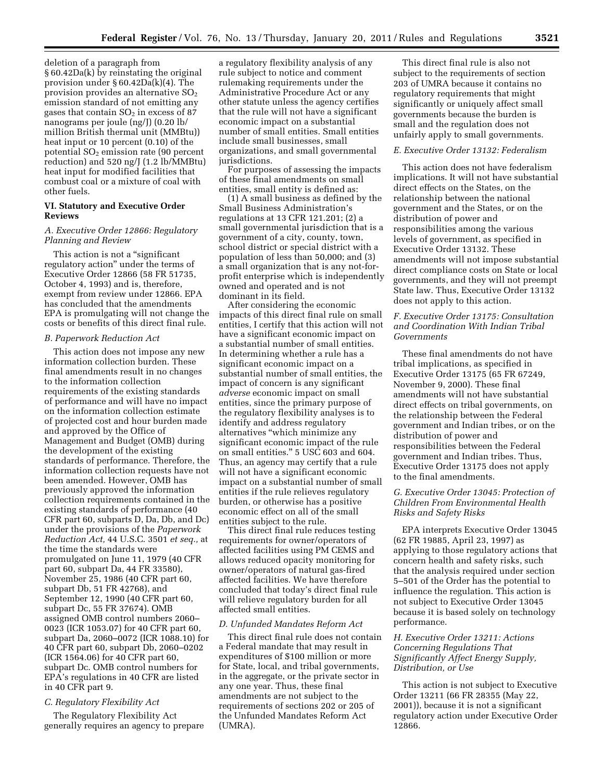deletion of a paragraph from § 60.42Da(k) by reinstating the original provision under § 60.42Da(k)(4). The provision provides an alternative SO2 emission standard of not emitting any gases that contain  $SO<sub>2</sub>$  in excess of 87 nanograms per joule (ng/J) (0.20 lb/ million British thermal unit (MMBtu)) heat input or 10 percent (0.10) of the potential SO<sub>2</sub> emission rate (90 percent reduction) and 520 ng/J (1.2 lb/MMBtu) heat input for modified facilities that combust coal or a mixture of coal with other fuels.

## **VI. Statutory and Executive Order Reviews**

## *A. Executive Order 12866: Regulatory Planning and Review*

This action is not a "significant regulatory action'' under the terms of Executive Order 12866 (58 FR 51735, October 4, 1993) and is, therefore, exempt from review under 12866. EPA has concluded that the amendments EPA is promulgating will not change the costs or benefits of this direct final rule.

## *B. Paperwork Reduction Act*

This action does not impose any new information collection burden. These final amendments result in no changes to the information collection requirements of the existing standards of performance and will have no impact on the information collection estimate of projected cost and hour burden made and approved by the Office of Management and Budget (OMB) during the development of the existing standards of performance. Therefore, the information collection requests have not been amended. However, OMB has previously approved the information collection requirements contained in the existing standards of performance (40 CFR part 60, subparts D, Da, Db, and Dc) under the provisions of the *Paperwork Reduction Act,* 44 U.S.C. 3501 *et seq.,* at the time the standards were promulgated on June 11, 1979 (40 CFR part 60, subpart Da, 44 FR 33580), November 25, 1986 (40 CFR part 60, subpart Db, 51 FR 42768), and September 12, 1990 (40 CFR part 60, subpart Dc, 55 FR 37674). OMB assigned OMB control numbers 2060– 0023 (ICR 1053.07) for 40 CFR part 60, subpart Da, 2060–0072 (ICR 1088.10) for 40 CFR part 60, subpart Db, 2060–0202 (ICR 1564.06) for 40 CFR part 60, subpart Dc. OMB control numbers for EPA's regulations in 40 CFR are listed in 40 CFR part 9.

### *C. Regulatory Flexibility Act*

The Regulatory Flexibility Act generally requires an agency to prepare

a regulatory flexibility analysis of any rule subject to notice and comment rulemaking requirements under the Administrative Procedure Act or any other statute unless the agency certifies that the rule will not have a significant economic impact on a substantial number of small entities. Small entities include small businesses, small organizations, and small governmental jurisdictions.

For purposes of assessing the impacts of these final amendments on small entities, small entity is defined as:

(1) A small business as defined by the Small Business Administration's regulations at 13 CFR 121.201; (2) a small governmental jurisdiction that is a government of a city, county, town, school district or special district with a population of less than 50,000; and (3) a small organization that is any not-forprofit enterprise which is independently owned and operated and is not dominant in its field.

After considering the economic impacts of this direct final rule on small entities, I certify that this action will not have a significant economic impact on a substantial number of small entities. In determining whether a rule has a significant economic impact on a substantial number of small entities, the impact of concern is any significant *adverse* economic impact on small entities, since the primary purpose of the regulatory flexibility analyses is to identify and address regulatory alternatives ''which minimize any significant economic impact of the rule on small entities.'' 5 USC 603 and 604. Thus, an agency may certify that a rule will not have a significant economic impact on a substantial number of small entities if the rule relieves regulatory burden, or otherwise has a positive economic effect on all of the small entities subject to the rule.

This direct final rule reduces testing requirements for owner/operators of affected facilities using PM CEMS and allows reduced opacity monitoring for owner/operators of natural gas-fired affected facilities. We have therefore concluded that today's direct final rule will relieve regulatory burden for all affected small entities.

### *D. Unfunded Mandates Reform Act*

This direct final rule does not contain a Federal mandate that may result in expenditures of \$100 million or more for State, local, and tribal governments, in the aggregate, or the private sector in any one year. Thus, these final amendments are not subject to the requirements of sections 202 or 205 of the Unfunded Mandates Reform Act (UMRA).

This direct final rule is also not subject to the requirements of section 203 of UMRA because it contains no regulatory requirements that might significantly or uniquely affect small governments because the burden is small and the regulation does not unfairly apply to small governments.

### *E. Executive Order 13132: Federalism*

This action does not have federalism implications. It will not have substantial direct effects on the States, on the relationship between the national government and the States, or on the distribution of power and responsibilities among the various levels of government, as specified in Executive Order 13132. These amendments will not impose substantial direct compliance costs on State or local governments, and they will not preempt State law. Thus, Executive Order 13132 does not apply to this action.

# *F. Executive Order 13175: Consultation and Coordination With Indian Tribal Governments*

These final amendments do not have tribal implications, as specified in Executive Order 13175 (65 FR 67249, November 9, 2000). These final amendments will not have substantial direct effects on tribal governments, on the relationship between the Federal government and Indian tribes, or on the distribution of power and responsibilities between the Federal government and Indian tribes. Thus, Executive Order 13175 does not apply to the final amendments.

# *G. Executive Order 13045: Protection of Children From Environmental Health Risks and Safety Risks*

EPA interprets Executive Order 13045 (62 FR 19885, April 23, 1997) as applying to those regulatory actions that concern health and safety risks, such that the analysis required under section 5–501 of the Order has the potential to influence the regulation. This action is not subject to Executive Order 13045 because it is based solely on technology performance.

# *H. Executive Order 13211: Actions Concerning Regulations That Significantly Affect Energy Supply, Distribution, or Use*

This action is not subject to Executive Order 13211 (66 FR 28355 (May 22, 2001)), because it is not a significant regulatory action under Executive Order 12866.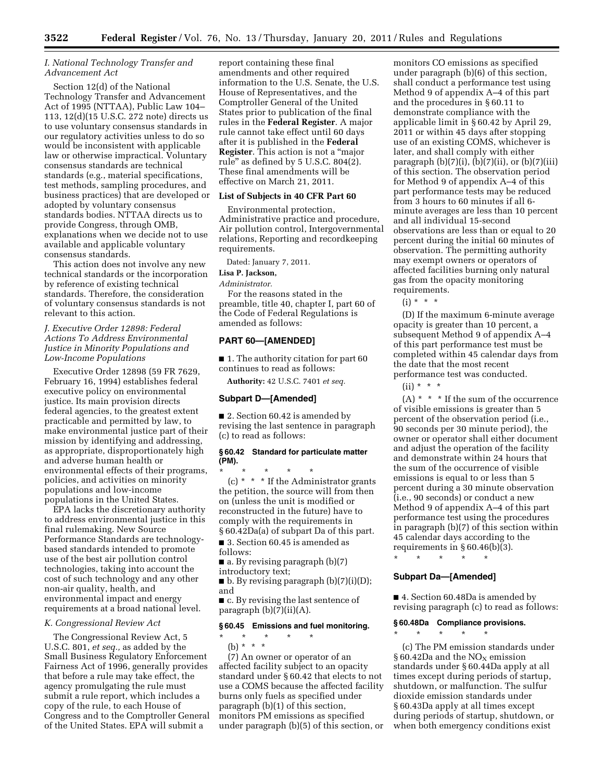# *I. National Technology Transfer and Advancement Act*

Section 12(d) of the National Technology Transfer and Advancement Act of 1995 (NTTAA), Public Law 104– 113, 12(d)(15 U.S.C. 272 note) directs us to use voluntary consensus standards in our regulatory activities unless to do so would be inconsistent with applicable law or otherwise impractical. Voluntary consensus standards are technical standards (e.g., material specifications, test methods, sampling procedures, and business practices) that are developed or adopted by voluntary consensus standards bodies. NTTAA directs us to provide Congress, through OMB, explanations when we decide not to use available and applicable voluntary consensus standards.

This action does not involve any new technical standards or the incorporation by reference of existing technical standards. Therefore, the consideration of voluntary consensus standards is not relevant to this action.

# *J. Executive Order 12898: Federal Actions To Address Environmental Justice in Minority Populations and Low-Income Populations*

Executive Order 12898 (59 FR 7629, February 16, 1994) establishes federal executive policy on environmental justice. Its main provision directs federal agencies, to the greatest extent practicable and permitted by law, to make environmental justice part of their mission by identifying and addressing, as appropriate, disproportionately high and adverse human health or environmental effects of their programs, policies, and activities on minority populations and low-income populations in the United States.

EPA lacks the discretionary authority to address environmental justice in this final rulemaking. New Source Performance Standards are technologybased standards intended to promote use of the best air pollution control technologies, taking into account the cost of such technology and any other non-air quality, health, and environmental impact and energy requirements at a broad national level.

### *K. Congressional Review Act*

The Congressional Review Act, 5 U.S.C. 801, *et seq.,* as added by the Small Business Regulatory Enforcement Fairness Act of 1996, generally provides that before a rule may take effect, the agency promulgating the rule must submit a rule report, which includes a copy of the rule, to each House of Congress and to the Comptroller General of the United States. EPA will submit a

report containing these final amendments and other required information to the U.S. Senate, the U.S. House of Representatives, and the Comptroller General of the United States prior to publication of the final rules in the **Federal Register**. A major rule cannot take effect until 60 days after it is published in the **Federal Register**. This action is not a ''major rule" as defined by  $5$  U.S.C. 804 $(2)$ . These final amendments will be effective on March 21, 2011.

### **List of Subjects in 40 CFR Part 60**

Environmental protection, Administrative practice and procedure, Air pollution control, Intergovernmental relations, Reporting and recordkeeping requirements.

Dated: January 7, 2011.

# **Lisa P. Jackson,**

### *Administrator.*

For the reasons stated in the preamble, title 40, chapter I, part 60 of the Code of Federal Regulations is amended as follows:

# **PART 60—[AMENDED]**

■ 1. The authority citation for part 60 continues to read as follows:

**Authority:** 42 U.S.C. 7401 *et seq.* 

## **Subpart D—[Amended]**

■ 2. Section 60.42 is amended by revising the last sentence in paragraph (c) to read as follows:

### **§ 60.42 Standard for particulate matter (PM).**

\* \* \* \* \* (c)  $*$   $*$   $*$  If the Administrator grants the petition, the source will from then on (unless the unit is modified or reconstructed in the future) have to comply with the requirements in § 60.42Da(a) of subpart Da of this part.

■ 3. Section 60.45 is amended as follows:

 $\blacksquare$  a. By revising paragraph  $(b)(7)$ introductory text;

■ b. By revising paragraph (b)(7)(i)(D); and

■ c. By revising the last sentence of paragraph (b)(7)(ii)(A).

### **§ 60.45 Emissions and fuel monitoring.**

\* \* \* \* \* (b) \* \* \*

(7) An owner or operator of an affected facility subject to an opacity standard under § 60.42 that elects to not use a COMS because the affected facility burns only fuels as specified under paragraph (b)(1) of this section, monitors PM emissions as specified under paragraph (b)(5) of this section, or

monitors CO emissions as specified under paragraph (b)(6) of this section, shall conduct a performance test using Method 9 of appendix A–4 of this part and the procedures in § 60.11 to demonstrate compliance with the applicable limit in § 60.42 by April 29, 2011 or within 45 days after stopping use of an existing COMS, whichever is later, and shall comply with either paragraph  $(b)(7)(i)$ ,  $(b)(7)(ii)$ , or  $(b)(7)(iii)$ of this section. The observation period for Method 9 of appendix A–4 of this part performance tests may be reduced from 3 hours to 60 minutes if all 6 minute averages are less than 10 percent and all individual 15-second observations are less than or equal to 20 percent during the initial 60 minutes of observation. The permitting authority may exempt owners or operators of affected facilities burning only natural gas from the opacity monitoring requirements.

 $(i) * * * *$ 

(D) If the maximum 6-minute average opacity is greater than 10 percent, a subsequent Method 9 of appendix A–4 of this part performance test must be completed within 45 calendar days from the date that the most recent performance test was conducted.

 $(ii) * * * *$ 

 $(A)$  \* \* \* If the sum of the occurrence of visible emissions is greater than 5 percent of the observation period (i.e., 90 seconds per 30 minute period), the owner or operator shall either document and adjust the operation of the facility and demonstrate within 24 hours that the sum of the occurrence of visible emissions is equal to or less than 5 percent during a 30 minute observation (i.e., 90 seconds) or conduct a new Method 9 of appendix A–4 of this part performance test using the procedures in paragraph (b)(7) of this section within 45 calendar days according to the requirements in  $\S 60.46(b)(3)$ .

\* \* \* \* \*

## **Subpart Da—[Amended]**

\* \* \* \* \*

■ 4. Section 60.48Da is amended by revising paragraph (c) to read as follows:

# **§ 60.48Da Compliance provisions.**

(c) The PM emission standards under § 60.42Da and the  $NO<sub>x</sub>$  emission standards under § 60.44Da apply at all times except during periods of startup, shutdown, or malfunction. The sulfur dioxide emission standards under § 60.43Da apply at all times except during periods of startup, shutdown, or when both emergency conditions exist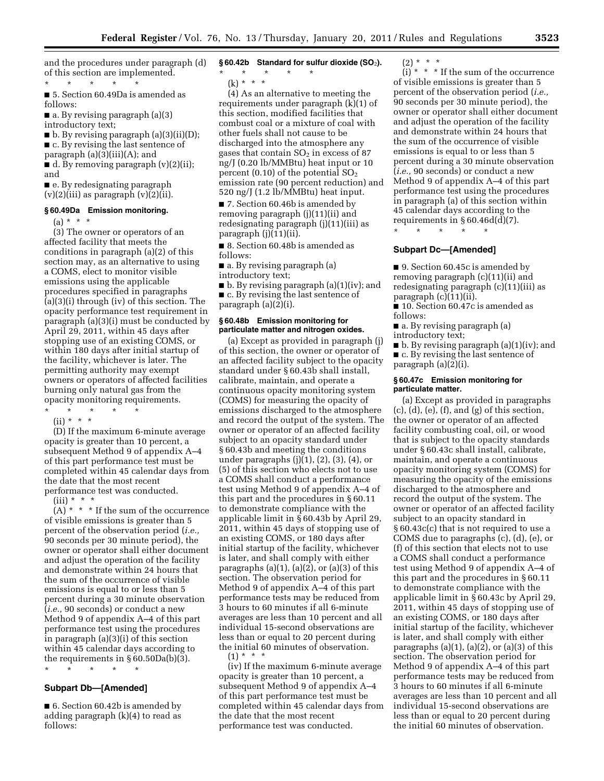and the procedures under paragraph (d) of this section are implemented.

\* \* \* \* \*

■ 5. Section 60.49Da is amended as follows:

■ a. By revising paragraph (a)(3) introductory text;

■ b. By revising paragraph (a)(3)(ii)(D); ■ c. By revising the last sentence of

paragraph (a)(3)(iii)(A); and

■ d. By removing paragraph (v)(2)(ii); and

■ e. By redesignating paragraph  $(v)(2)(iii)$  as paragraph  $(v)(2)(ii)$ .

## **§ 60.49Da Emission monitoring.**

 $(a) * * * *$ 

(3) The owner or operators of an affected facility that meets the conditions in paragraph (a)(2) of this section may, as an alternative to using a COMS, elect to monitor visible emissions using the applicable procedures specified in paragraphs (a)(3)(i) through (iv) of this section. The opacity performance test requirement in paragraph (a)(3)(i) must be conducted by April 29, 2011, within 45 days after stopping use of an existing COMS, or within 180 days after initial startup of the facility, whichever is later. The permitting authority may exempt owners or operators of affected facilities burning only natural gas from the opacity monitoring requirements. \* \* \* \* \*

 $(ii) * * * *$ 

(D) If the maximum 6-minute average opacity is greater than 10 percent, a subsequent Method 9 of appendix A–4 of this part performance test must be completed within 45 calendar days from the date that the most recent performance test was conducted.

 $(iii) * * * *$ 

 $(A)$  \* \* \* If the sum of the occurrence of visible emissions is greater than 5 percent of the observation period (*i.e.,*  90 seconds per 30 minute period), the owner or operator shall either document and adjust the operation of the facility and demonstrate within 24 hours that the sum of the occurrence of visible emissions is equal to or less than 5 percent during a 30 minute observation (*i.e.,* 90 seconds) or conduct a new Method 9 of appendix A–4 of this part performance test using the procedures in paragraph (a)(3)(i) of this section within 45 calendar days according to the requirements in § 60.50Da(b)(3).

\* \* \* \* \*

# **Subpart Db—[Amended]**

■ 6. Section 60.42b is amended by adding paragraph (k)(4) to read as follows:

- **§ 60.42b Standard for sulfur dioxide (SO**2**).** 
	- \* \* \* \* \*

 $(k) * * * *$ 

(4) As an alternative to meeting the requirements under paragraph (k)(1) of this section, modified facilities that combust coal or a mixture of coal with other fuels shall not cause to be discharged into the atmosphere any gases that contain  $SO<sub>2</sub>$  in excess of 87 ng/J (0.20 lb/MMBtu) heat input or 10 percent (0.10) of the potential  $SO<sub>2</sub>$ emission rate (90 percent reduction) and 520 ng/J (1.2 lb/MMBtu) heat input.

■ 7. Section 60.46b is amended by removing paragraph (j)(11)(ii) and redesignating paragraph (j)(11)(iii) as paragraph (j)(11)(ii).

■ 8. Section 60.48b is amended as follows:

■ a. By revising paragraph (a) introductory text;

■ b. By revising paragraph (a)(1)(iv); and ■ c. By revising the last sentence of paragraph (a)(2)(i).

## **§ 60.48b Emission monitoring for particulate matter and nitrogen oxides.**

(a) Except as provided in paragraph (j) of this section, the owner or operator of an affected facility subject to the opacity standard under § 60.43b shall install, calibrate, maintain, and operate a continuous opacity monitoring system (COMS) for measuring the opacity of emissions discharged to the atmosphere and record the output of the system. The owner or operator of an affected facility subject to an opacity standard under § 60.43b and meeting the conditions under paragraphs (j)(1), (2), (3), (4), or (5) of this section who elects not to use a COMS shall conduct a performance test using Method 9 of appendix A–4 of this part and the procedures in § 60.11 to demonstrate compliance with the applicable limit in § 60.43b by April 29, 2011, within 45 days of stopping use of an existing COMS, or 180 days after initial startup of the facility, whichever is later, and shall comply with either paragraphs  $(a)(1)$ ,  $(a)(2)$ , or  $(a)(3)$  of this section. The observation period for Method 9 of appendix A–4 of this part performance tests may be reduced from 3 hours to 60 minutes if all 6-minute averages are less than 10 percent and all individual 15-second observations are less than or equal to 20 percent during the initial 60 minutes of observation.  $(1) * * * *$ 

(iv) If the maximum 6-minute average opacity is greater than 10 percent, a subsequent Method 9 of appendix A–4 of this part performance test must be completed within 45 calendar days from the date that the most recent performance test was conducted.

 $(2) * * * *$ 

 $(i) * * *$  If the sum of the occurrence of visible emissions is greater than 5 percent of the observation period (*i.e.,*  90 seconds per 30 minute period), the owner or operator shall either document and adjust the operation of the facility and demonstrate within 24 hours that the sum of the occurrence of visible emissions is equal to or less than 5 percent during a 30 minute observation (*i.e.,* 90 seconds) or conduct a new Method 9 of appendix A–4 of this part performance test using the procedures in paragraph (a) of this section within 45 calendar days according to the requirements in  $\S 60.46d(d)(7)$ .

\* \* \* \* \* **Subpart Dc—[Amended]** 

■ 9. Section 60.45c is amended by removing paragraph (c)(11)(ii) and redesignating paragraph (c)(11)(iii) as paragraph (c)(11)(ii).

■ 10. Section 60.47c is amended as follows:

■ a. By revising paragraph (a)

introductory text;

■ b. By revising paragraph (a)(1)(iv); and ■ c. By revising the last sentence of paragraph (a)(2)(i).

## **§ 60.47c Emission monitoring for particulate matter.**

(a) Except as provided in paragraphs  $(c)$ ,  $(d)$ ,  $(e)$ ,  $(f)$ , and  $(g)$  of this section, the owner or operator of an affected facility combusting coal, oil, or wood that is subject to the opacity standards under § 60.43c shall install, calibrate, maintain, and operate a continuous opacity monitoring system (COMS) for measuring the opacity of the emissions discharged to the atmosphere and record the output of the system. The owner or operator of an affected facility subject to an opacity standard in § 60.43c(c) that is not required to use a COMS due to paragraphs (c), (d), (e), or (f) of this section that elects not to use a COMS shall conduct a performance test using Method 9 of appendix A–4 of this part and the procedures in § 60.11 to demonstrate compliance with the applicable limit in § 60.43c by April 29, 2011, within 45 days of stopping use of an existing COMS, or 180 days after initial startup of the facility, whichever is later, and shall comply with either paragraphs  $(a)(1)$ ,  $(a)(2)$ , or  $(a)(3)$  of this section. The observation period for Method 9 of appendix A–4 of this part performance tests may be reduced from 3 hours to 60 minutes if all 6-minute averages are less than 10 percent and all individual 15-second observations are less than or equal to 20 percent during the initial 60 minutes of observation.